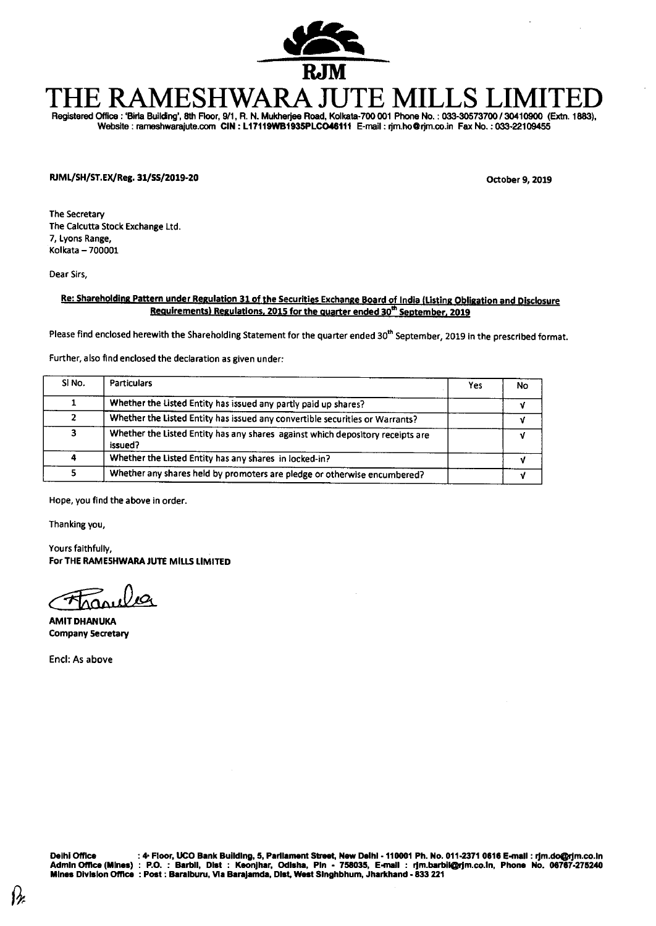

# **THE RAMESHWARA JUTE MILLS L**

Registered Office : **'Bide Building', 8th Floor, 9/1, R. N. Mukherjee Road, Kolkata-700 001 Phone No. : 033-30573700 / 30410900 (Extn. 1883),**  Website : rameshwarajute.com CIN : L17119WB1935PLCO46111 E-mail : rjm.ho@rjm.co.in Fax No. : 033-22109455

**IUML/SH/ST.EX/Reg. 31/SS/2019-20 October 9, 2019** 

The Secretary The Calcutta Stock Exchange Ltd. 7, Lyons Range, Kolkata — 700001

Dear Sirs,

## **Re: Shareholding Pattern under Regulation 31 of the Securities Exchange Board of India (Listing Obligation and Disclosure Requirements) Regulations, 2015 for the quarter ended 30<sup>th</sup> September, 2019**

Please find enclosed herewith the Shareholding Statement for the quarter ended 30<sup>th</sup> September, 2019 in the prescribed format.

Further, also find enclosed the declaration as given under:

| SI <sub>No.</sub> | <b>Particulars</b>                                                                        | Yes | No |
|-------------------|-------------------------------------------------------------------------------------------|-----|----|
|                   | Whether the Listed Entity has issued any partly paid up shares?                           |     |    |
|                   | Whether the Listed Entity has issued any convertible securities or Warrants?              |     |    |
|                   | Whether the Listed Entity has any shares against which depository receipts are<br>issued? |     |    |
|                   | Whether the Listed Entity has any shares in locked-in?                                    |     |    |
|                   | Whether any shares held by promoters are pledge or otherwise encumbered?                  |     |    |

Hope, you find the above in order.

Thanking you,

Yours faithfully, **For THE RAMESHWARA JUTE MILLS LIMITED** 

**AMIT DHANUKA Company Secretary** 

End: As above

Deihi Office : 4 Floor, UCO Bank Building, 5, Parliament Street, New Deihi - 110001 Ph. No. 011-2371 0616 E-mail : rjm.do@rjm.co.in<br>Admin Office (Mines) : P.O. : Barbil, Dist : Keonjhar, Odisha, Pin - 758035, E-mai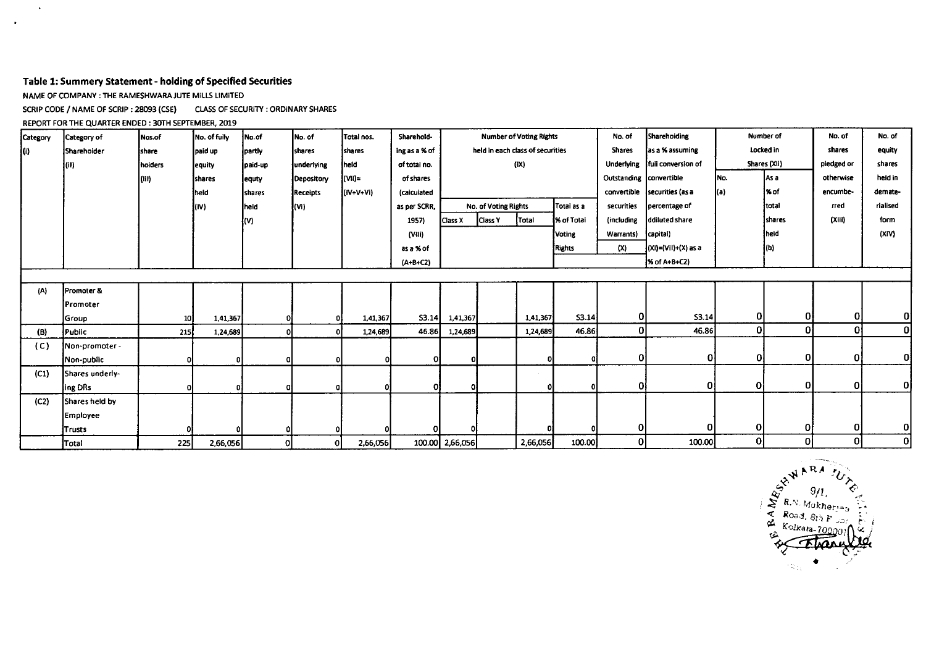## **Table 1: Summery Statement - holding of Specified Securities**

NAME OF COMPANY : THE RAMESHWARA JUTE MILLS LIMITED

 $\bullet$ 

 $\ddot{\phantom{1}}$ 

SCRIP CODE / NAME OF SCRIP : 28093 (CSE) CLASS OF SECURITY : ORDINARY SHARES

REPORT FOR THE QUARTER ENDED : 30TH SEPTEMBER, 2019

| Category | Category of     | <b>Nos.of</b> | No. of fully   | No.of    | No. of          | Total nos.  | Sharehold-    | <b>Number of Voting Rights</b> |                      |                                  |               | No. of                  | Shareholding        |              | Number of      | No. of         | No. of       |
|----------|-----------------|---------------|----------------|----------|-----------------|-------------|---------------|--------------------------------|----------------------|----------------------------------|---------------|-------------------------|---------------------|--------------|----------------|----------------|--------------|
| lO).     | Sharehoider     | <b>Ishare</b> | paid up        | partly   | <b>shares</b>   | shares      | ing as a % of |                                |                      | held in each class of securities |               | <b>Shares</b>           | as a % assuming     |              | Locked in      | shares         | equity       |
|          | (II)            | hoiders       | equity         | paid-up  | underlying      | theid       | of total no.  |                                |                      | (IX)                             |               | Underlying              | full conversion of  |              | Shares (XII)   | piedged or     | shares       |
|          |                 | (III)         | <b>Ishares</b> | equty    | Depository      | (VII)=      | of shares     |                                |                      |                                  |               | Outstanding convertible |                     | INo.         | As a           | otherwise      | held in      |
|          |                 |               | held           | shares   | <b>Receipts</b> | $(IV+V+Vi)$ | (calculated   |                                |                      |                                  |               | convertible             | securities (as a    | (a)          | 1% of          | encumbe-       | demate-      |
|          |                 |               | ļ(iV)          | Ineid    | V               |             | as per SCRR,  |                                | No. of Voting Rights |                                  | Totai as a    | securities              | percentage of       |              | Itotal         | rred           | rialised     |
|          |                 |               |                | {M}      |                 |             | 1957)         | Class X                        | Ciass Y              | [Total                           | % of Total    | (including              | ddiluted share      |              | <b>Ishares</b> | (Xiii)         | form         |
|          |                 |               |                |          |                 |             | (VIII)        |                                |                      |                                  | <b>Voting</b> | Warrants)               | capital)            |              | held           |                | (XIV)        |
|          |                 |               |                |          |                 |             | as a % of     |                                |                      |                                  | Rights        | (X)                     | (XI)=(Vil)+(X) as a |              | (b)            |                |              |
|          |                 |               |                |          |                 |             | $(A+B+CZ)$    |                                |                      |                                  |               |                         | % of A+B+C2)        |              |                |                |              |
|          |                 |               |                |          |                 |             |               |                                |                      |                                  |               |                         |                     |              |                |                |              |
| (A)      | Promoter &      |               |                |          |                 |             |               |                                |                      |                                  |               |                         |                     |              |                |                |              |
|          | Promoter        |               |                |          |                 |             |               |                                |                      |                                  |               |                         |                     |              |                |                |              |
|          | <b>Group</b>    | 10            | 1,41,367       |          |                 | 1,41,367    | S3.14         | 1,41,367                       |                      | 1,41,367                         | 53.14         | ΟI                      | S3.14               | 01           | Οl             | $\mathbf{0}$   | Οİ           |
| (B)      | Public          | <b>215</b>    | 1,24,689       | $\Omega$ |                 | 1,24,689    | 46.86         | 1,24,689                       |                      | 1,24,689                         | 46.86         | οI                      | 46.86               | Οl           | $\mathbf{0}$   | 0l             | 0            |
| (C)      | Non-promoter -  |               |                |          |                 |             |               |                                |                      |                                  |               |                         |                     |              |                |                |              |
|          | Non-public      | ΩI            | ۵I             | 0        |                 |             |               | οI                             |                      |                                  | $\Omega$      | ΟI                      | Οł                  | 0l           | 0              | $\overline{0}$ | <sub>0</sub> |
| (C1)     | Shares underly- |               |                |          |                 |             |               |                                |                      |                                  |               |                         |                     |              |                |                |              |
|          | ing DRs         |               |                |          |                 |             |               | o                              |                      |                                  |               | 0I                      | Οl                  | $\mathbf{0}$ | 0              | $\overline{0}$ | οI           |
| (C2)     | Shares held by  |               |                |          |                 |             |               |                                |                      |                                  |               |                         |                     |              |                |                |              |
|          | Employee        |               |                |          |                 |             |               |                                |                      |                                  |               |                         |                     |              |                |                |              |
|          | Trusts          |               |                | οI       |                 |             |               |                                |                      |                                  | $\Omega$      | Οl                      | Ol                  | 01           | ΩI             | -O1            | οI           |
|          | Total           | 225           | 2,66,056       | οI       | ΩI              | 2,66,056    |               | 100.00 2,66,056                |                      | 2,66,056                         | 100.00        | 0                       | 100.00              | ٥I           | 0              | $\overline{0}$ | $\mathbf{0}$ |

,41R *<sup>A</sup>* **<sup>4</sup>***": 911,*  R *MUkher,,,,*   $\mathcal{L}$  Road,  $8t$ <sub>1</sub> **F**  $\left\{\sum_{i=1}^{k} K \right\}$  **Road,**  $8t$  **F**  $\left\{\sum_{i=1}^{k} K \right\}$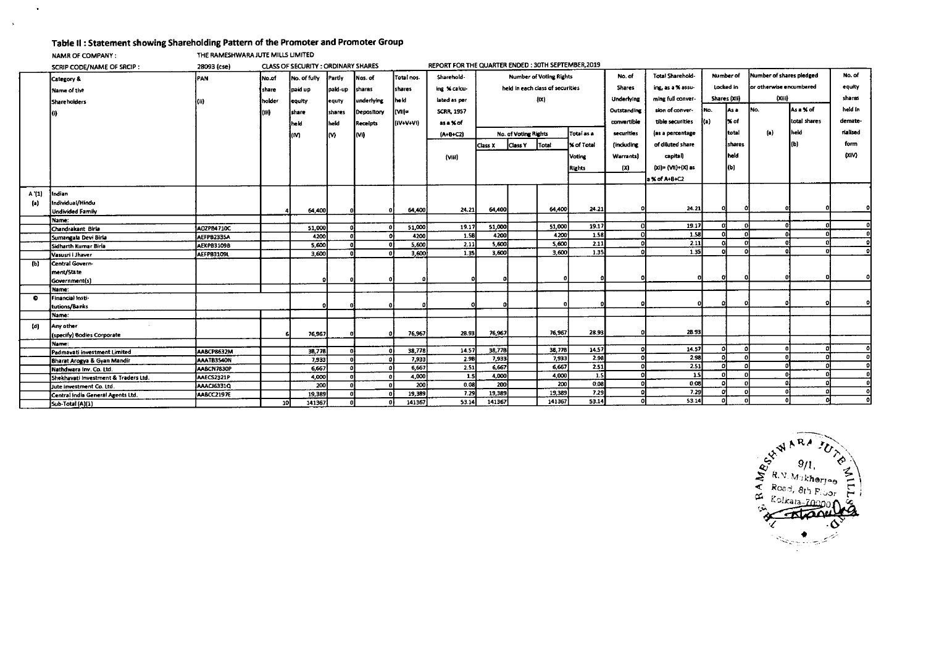## **Table II : Statement showing Shareholding Pattern of the Promoter and Promoter Group**

**NAMR OF COMPANY:** THE RAMESHWARA JUTE MILLS UMITED

 $\bullet$ 

 $\mathbf{A}^{\prime}$ 

|                   | SCRIP CODE/NAME OF SRCIP:            | 28093 (cse)       |                 | <b>CLASS OF SECURITY: ORDINARY SHARES</b> |         |                 |                 | REPORT FOR THE QUARTER ENDED: 30TH SEPTEMBER, 2019 |                                |                      |                                  |                 |                         |                                |              |                          |                          |              |          |
|-------------------|--------------------------------------|-------------------|-----------------|-------------------------------------------|---------|-----------------|-----------------|----------------------------------------------------|--------------------------------|----------------------|----------------------------------|-----------------|-------------------------|--------------------------------|--------------|--------------------------|--------------------------|--------------|----------|
|                   | Category &                           | PAN               | No.of           | No. of fully                              | Partiv  | Nos. of         | Total nos.      | Sharehold-                                         | <b>Number of Voting Rights</b> |                      |                                  | No. of          | <b>Total Sharehold-</b> | Number of                      |              | Number of shares pledged |                          | No. of       |          |
|                   | Name of the                          |                   | share           | paid up                                   | pald-up | shares          | <b>I</b> shares | ing % calcu-                                       |                                |                      | held in each class of securities |                 | <b>Shares</b>           | Locked in<br>ing, as a % assu- |              |                          | for otherwise encumbered | equity       |          |
|                   | Shareholders                         |                   | holder          | equity                                    | equty   | underlying      | heki.           | iated as per                                       |                                |                      | (1)                              |                 | Underlying              | ming full conver-              | Shares (XII) |                          | (xiii)                   |              | shares   |
|                   |                                      |                   | łтn             | <b>Ishare</b>                             | shares  | Depository      | livn-           | <b>SCRR, 1957</b>                                  |                                |                      |                                  |                 | Outstanding             | sion of conver-                | iNo.         | lAs a                    | INO.                     | As a % of    | held in  |
|                   |                                      |                   |                 | held                                      | held    | <b>Receipts</b> | (IV+V+VI)       | as a % of                                          |                                |                      |                                  |                 | convertible             | tible securities               | I(a)         | 1% of                    |                          | total shares | demate-  |
|                   |                                      |                   |                 | kM                                        | M       | (Vi)            |                 | $[A+B+C2]$                                         |                                | No. of Voting Rights |                                  | Total as a      | securities              | (as a percentage               |              | total                    | (a)                      | held         | rialised |
|                   |                                      |                   |                 |                                           |         |                 |                 |                                                    | Class X                        | <b>Class Y</b>       | <b>Total</b>                     | % of Total      | <i>fincluding</i>       | of diluted share               |              | Ishares                  |                          | ſЫ           | form     |
|                   |                                      |                   |                 |                                           |         |                 |                 | (Viii)                                             |                                | <b>Voting</b>        |                                  | <b>Warrants</b> | capital)                |                                | İheld        |                          |                          | (XiV)        |          |
|                   |                                      |                   |                 |                                           |         |                 |                 |                                                    |                                | <b>Rights</b>        |                                  |                 | (X)                     | (Xi)= (VII)+(X) as             |              | l(b)                     |                          |              |          |
|                   |                                      |                   |                 |                                           |         |                 |                 |                                                    |                                |                      |                                  |                 |                         | a % of A+B+C2                  |              |                          |                          |              |          |
|                   |                                      |                   |                 |                                           |         |                 |                 |                                                    |                                |                      |                                  |                 |                         |                                |              |                          |                          |              |          |
| A'(1)             | Indian                               |                   |                 |                                           |         |                 |                 |                                                    |                                |                      |                                  |                 |                         |                                |              |                          |                          |              |          |
| $\left( a\right)$ | Individual/Hindu                     |                   |                 |                                           |         |                 |                 |                                                    | 64,400                         |                      | 64,400                           | 24.21           |                         | 24.21                          |              |                          |                          |              |          |
|                   | <b>Undivided Family</b>              |                   |                 | 64,400                                    |         |                 | 64,400          | 24.21                                              |                                |                      |                                  |                 |                         |                                |              |                          |                          |              |          |
|                   | Name:                                |                   |                 |                                           |         |                 |                 |                                                    | 51,000                         |                      | 51,000                           | 19.17           |                         | 19.17                          |              |                          |                          |              | ΩL       |
|                   | Chandrakant Birla                    | A02PB4710C        |                 | 51,000                                    |         |                 | 51,000          | 19.17<br>1.5B                                      |                                |                      | 4200                             | 1.58            |                         | 1.58                           |              |                          |                          |              | οl       |
|                   | Sumangala Devi Birla                 | AEFPB233SA        |                 | 4200                                      |         |                 | 4200            |                                                    | 4200                           |                      | 5,600                            | 2.11            |                         | 2.11                           |              |                          |                          |              | οl       |
|                   | Sidharth Kumar Birla                 | <b>AEKPB31098</b> |                 | 5,600                                     |         |                 | 5,600           | 2.11                                               | 5,600                          |                      |                                  |                 |                         |                                |              |                          |                          |              |          |
|                   | Vasusri i Jhaver                     | <b>AEFPB3109L</b> |                 | 3,600                                     |         |                 | 3,600           | 1.35                                               | 3,600                          |                      | 3,600                            | 1.35            |                         | 1.35                           |              |                          |                          |              |          |
| (b)               | Central Govern-                      |                   |                 |                                           |         |                 |                 |                                                    |                                |                      |                                  |                 |                         |                                |              |                          |                          |              |          |
|                   | ment/State                           |                   |                 |                                           |         |                 |                 |                                                    |                                |                      |                                  |                 |                         |                                |              |                          |                          |              |          |
|                   | Government(s)                        |                   |                 |                                           |         |                 |                 |                                                    |                                |                      |                                  |                 |                         |                                |              |                          |                          |              |          |
|                   | Name:                                |                   |                 |                                           |         |                 |                 |                                                    |                                |                      |                                  |                 |                         |                                |              |                          |                          |              |          |
| ۰                 | Financial Insti-                     |                   |                 |                                           |         |                 |                 |                                                    |                                |                      |                                  |                 |                         |                                |              |                          |                          |              |          |
|                   | tutions/Banks                        |                   |                 |                                           |         |                 |                 |                                                    |                                |                      |                                  |                 |                         |                                |              |                          |                          |              |          |
|                   | Name:                                |                   |                 |                                           |         |                 |                 |                                                    |                                |                      |                                  |                 |                         |                                |              |                          |                          |              |          |
| (d)               | Any other                            |                   |                 |                                           |         |                 |                 |                                                    |                                |                      |                                  |                 |                         |                                |              |                          |                          |              |          |
|                   | (specify) Bodies Corporate           |                   |                 | 76,967                                    |         |                 | 76,967          | 28.93                                              | 76,967                         |                      | 76,967                           | 28.93           |                         | 28.93                          |              |                          |                          |              |          |
|                   | Name:                                |                   |                 |                                           |         |                 |                 |                                                    |                                |                      |                                  |                 |                         |                                |              |                          |                          |              |          |
|                   | Padmavati investment Limited         | AABCP8632M        |                 | 38,778                                    |         |                 | 38,778          | 14.57                                              | 38,778                         |                      | 38,778                           | 14.57           |                         | 14.57                          |              |                          |                          |              |          |
|                   | Bharat Arogya & Gyan Mandir          | AAATB3540N        |                 | 7,933                                     |         |                 | 7,933           | 2.98                                               | 7,933                          |                      | 7.933                            | 2.98            |                         | 2.98                           |              |                          |                          |              |          |
|                   | Nathdwara Inv. Co. Ltd.              | AABCN7830P        |                 | 6,667                                     |         |                 | 6,667           | 2.51                                               | 6,667                          |                      | 6,667                            | 2.51            |                         | 2.51                           |              |                          |                          |              | ΩI       |
|                   | Shekhavati Investment & Traders Ltd. | AAECS2321P        |                 | 4,000                                     |         | - O F           | 4,000           | - 1.5                                              | 4,000                          |                      | 4,000                            | 1.5             |                         | 1.5                            |              |                          |                          |              |          |
|                   | Jute investment Co. Ltd.             | AAACI6331Q        |                 | 200                                       |         |                 | 200             | 0.08                                               | 200                            |                      | 200                              | 0.08            |                         | 0.08                           |              |                          |                          |              |          |
|                   | Central India General Agents Ltd.    | AABCC2197E        |                 | 19,389                                    |         |                 | 19,389          | 7.29                                               | 19,389                         |                      | 19,389                           | 7.29            |                         | 7.29                           |              |                          |                          |              | ٥I       |
|                   | Sub-Total (A)(1)                     |                   | 10 <sup>1</sup> | 141367                                    |         |                 | 141367          | 53.14                                              | 141367                         |                      | 141367                           | 53.14           |                         | 53.14                          |              |                          |                          |              | οl       |

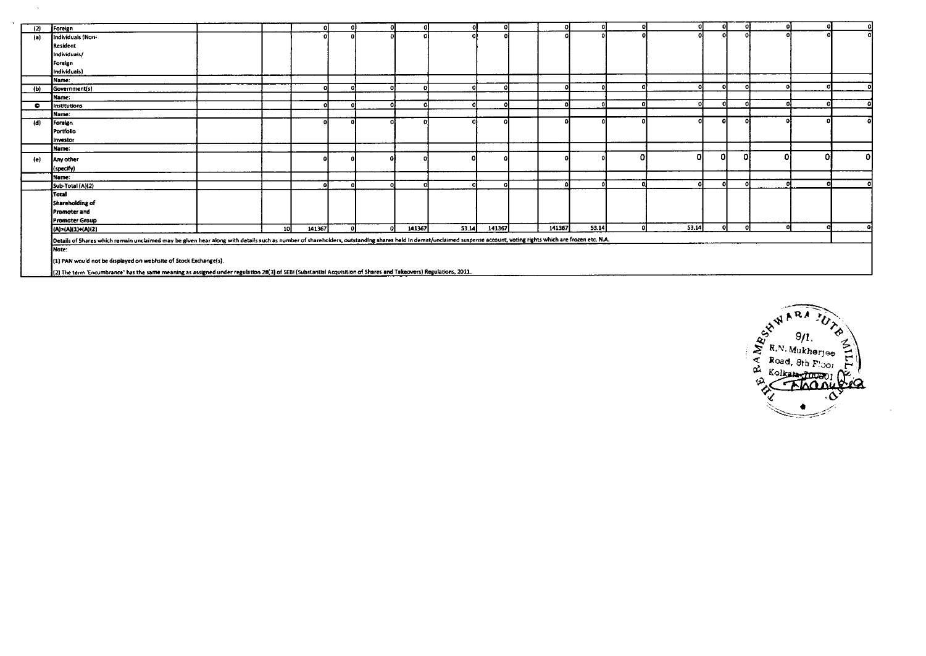| (2)       | Foreign                                                                                                                                                                                                             |    |        |            |     |        |       |        |        |       |    |       |  |    |    |
|-----------|---------------------------------------------------------------------------------------------------------------------------------------------------------------------------------------------------------------------|----|--------|------------|-----|--------|-------|--------|--------|-------|----|-------|--|----|----|
| (a)       | Individuals (Non-                                                                                                                                                                                                   |    |        |            |     |        |       |        |        |       |    |       |  |    |    |
|           | Resident                                                                                                                                                                                                            |    |        |            |     |        |       |        |        |       |    |       |  |    |    |
|           | Individuals/                                                                                                                                                                                                        |    |        |            |     |        |       |        |        |       |    |       |  |    |    |
|           | Foreign                                                                                                                                                                                                             |    |        |            |     |        |       |        |        |       |    |       |  |    |    |
|           | Individuals)                                                                                                                                                                                                        |    |        |            |     |        |       |        |        |       |    |       |  |    |    |
|           | Name:                                                                                                                                                                                                               |    |        |            |     |        |       |        |        |       |    |       |  |    |    |
| (b)       | Government(s)                                                                                                                                                                                                       |    |        |            |     |        | ni    |        |        |       |    |       |  |    |    |
|           | Name:                                                                                                                                                                                                               |    |        |            |     |        |       |        |        |       |    |       |  |    |    |
| $\bullet$ | Institutions                                                                                                                                                                                                        |    |        |            |     | n.     | ni    |        | £      |       |    |       |  |    |    |
|           | Name:                                                                                                                                                                                                               |    |        |            |     |        |       |        |        |       |    |       |  |    |    |
| (d)       | Foreign                                                                                                                                                                                                             |    |        |            |     |        |       |        |        |       |    |       |  |    |    |
|           | Portfolio                                                                                                                                                                                                           |    |        |            |     |        |       |        |        |       |    |       |  |    |    |
|           | Investor                                                                                                                                                                                                            |    |        |            |     |        |       |        |        |       |    |       |  |    |    |
|           | Name:                                                                                                                                                                                                               |    |        |            |     |        |       |        |        |       |    |       |  |    |    |
| (e)       | Any other                                                                                                                                                                                                           |    |        |            |     |        |       |        |        |       | D. |       |  | 01 | οI |
|           | (specify)                                                                                                                                                                                                           |    |        |            |     |        |       |        |        |       |    |       |  |    |    |
|           | Name:                                                                                                                                                                                                               |    |        |            |     |        |       |        |        |       |    |       |  |    |    |
|           | Sub-Total (A)(2)                                                                                                                                                                                                    |    |        |            |     |        | nı    | Ω      | 0      |       |    |       |  |    |    |
|           | <b>Total</b>                                                                                                                                                                                                        |    |        |            |     |        |       |        |        |       |    |       |  |    |    |
|           | Shareholding of                                                                                                                                                                                                     |    |        |            |     |        |       |        |        |       |    |       |  |    |    |
|           | Promoter and                                                                                                                                                                                                        |    |        |            |     |        |       |        |        |       |    |       |  |    |    |
|           | Promoter Group                                                                                                                                                                                                      |    |        |            |     |        |       |        |        |       |    |       |  |    |    |
|           | (A)=(A)(1)+(A)(2)                                                                                                                                                                                                   | 10 | 141367 | $\sqrt{2}$ | -ni | 141367 | 53.14 | 141367 | 141367 | 53.14 | ø  | 53.14 |  | n  |    |
|           | Details of Shares which remain unclaimed may be given hear along with details such as number of shareholders, outstanding shares held in demat/unclaimed suspense account, voting rights which are frozen etc. N.A. |    |        |            |     |        |       |        |        |       |    |       |  |    |    |
|           | INote:                                                                                                                                                                                                              |    |        |            |     |        |       |        |        |       |    |       |  |    |    |
|           |                                                                                                                                                                                                                     |    |        |            |     |        |       |        |        |       |    |       |  |    |    |
|           | (1) PAN would not be displayed on webhsite of Stock Exchange(s).                                                                                                                                                    |    |        |            |     |        |       |        |        |       |    |       |  |    |    |
|           | [2] The term 'Encumbrance' has the same meaning as assigned under regulation 28(3) of SEBI (Substantial Acquisition of Shares and Takeovers) Regulations, 2011.                                                     |    |        |            |     |        |       |        |        |       |    |       |  |    |    |

 $\bar{\lambda}$ 

 $\mathbf{A}$ 

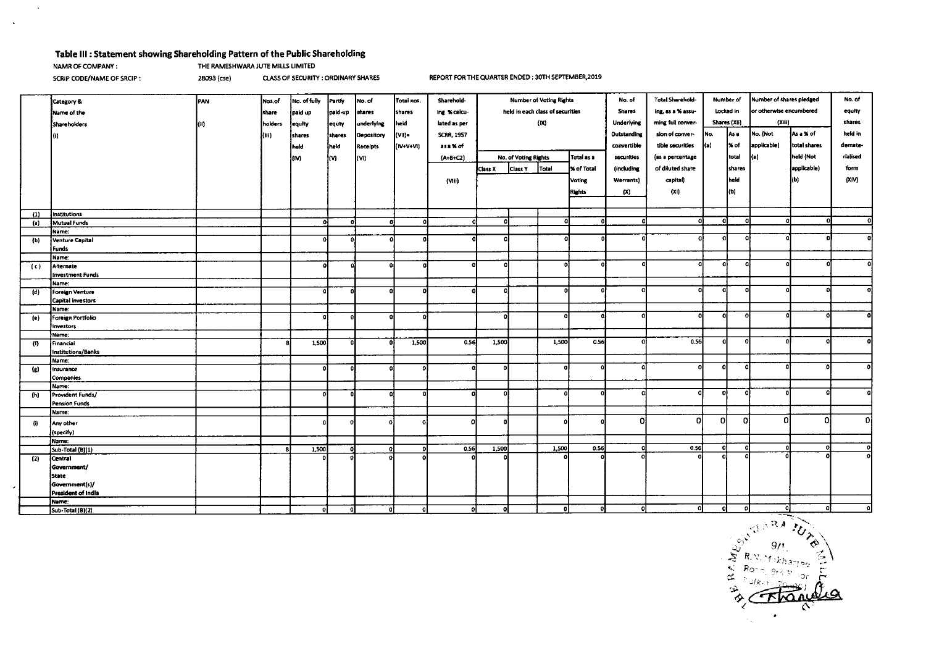#### **Table III : Statement showing Shareholding Pattern of the Public Shareholding <br>NAMR OF COMPANY : THE RAMESHWARA JUTE MILLS LIMITED** THE RAMESHWARA JUTE MILLS LIMITED

 $\sim$ 

 $\mathcal{A}$ 

SCRIP CODE/NAME OF SRCIP : 28093 (cse) CLASS OF SECURITY : ORDINARY SHARES REPORT FOR THE QUARTER ENDED : 30TH SEPTEMBER,2019

|                                                                                                                                                                                                                                                                                                                                                                                                                                                                                                  | Category &                    | PAN | Nos.of  | No. of fully | Partly       | No. of          | Total nos. | Sharehold-        | <b>Number of Voting Rights</b>     |         |            | No. of            | <b>Total Sharehold-</b><br>Number of |                  | Number of shares pledged | No. of      |                         |             |          |
|--------------------------------------------------------------------------------------------------------------------------------------------------------------------------------------------------------------------------------------------------------------------------------------------------------------------------------------------------------------------------------------------------------------------------------------------------------------------------------------------------|-------------------------------|-----|---------|--------------|--------------|-----------------|------------|-------------------|------------------------------------|---------|------------|-------------------|--------------------------------------|------------------|--------------------------|-------------|-------------------------|-------------|----------|
|                                                                                                                                                                                                                                                                                                                                                                                                                                                                                                  | Name of the                   |     | share   | paid up      | paid-up      | shares          | shares     | ing % calcu-      | held in each class of securities   |         |            | <b>Shares</b>     | ing, as a % assu-                    |                  | Locked in                |             | or otherwise encumbered |             |          |
|                                                                                                                                                                                                                                                                                                                                                                                                                                                                                                  |                               |     |         |              |              |                 |            |                   | (X)                                |         |            | <b>Underlying</b> | ming full conver-                    |                  | Shares (XII)             | (Xiii)      |                         | shares      |          |
|                                                                                                                                                                                                                                                                                                                                                                                                                                                                                                  | Shareholders                  |     | holders | equity       | equty        | underlying      | held       | lated as per      |                                    |         |            |                   |                                      |                  |                          |             |                         |             |          |
|                                                                                                                                                                                                                                                                                                                                                                                                                                                                                                  | l0).                          |     | (M)     | shares       | shares       | Depository      | VII)=      | <b>SCRR, 1957</b> |                                    |         |            | Outstanding       | sion of conver-                      | No.              | As a                     | No. (Not    | As a % of               | held in     |          |
|                                                                                                                                                                                                                                                                                                                                                                                                                                                                                                  |                               |     |         | held         | iheld        | <b>Receipts</b> | (IV+V+VI)  | as a % of         |                                    |         |            | convertible       | tible securities                     | ka)              | ∦X of                    | applicable) | total shares            | demate-     |          |
|                                                                                                                                                                                                                                                                                                                                                                                                                                                                                                  |                               |     |         | (M)          | łм           | kvi)            |            | (A+B+C2)          | Total as a<br>No. of Voting Rights |         | securities | (as a percentage  |                                      | total            | a)                       | held (Not   | rialised                |             |          |
|                                                                                                                                                                                                                                                                                                                                                                                                                                                                                                  |                               |     |         |              |              |                 |            |                   | Class X                            | Class Y | Total      | X of Total        | (including                           | of diluted share |                          | shares      |                         | applicable) | form     |
|                                                                                                                                                                                                                                                                                                                                                                                                                                                                                                  |                               |     |         |              |              |                 |            | (Mii)             |                                    |         |            | <b>Voting</b>     | Warrants)                            | capital)         |                          | held        |                         | (b)         | (XiV)    |
|                                                                                                                                                                                                                                                                                                                                                                                                                                                                                                  |                               |     |         |              |              |                 |            |                   |                                    |         |            |                   |                                      |                  |                          |             |                         |             |          |
|                                                                                                                                                                                                                                                                                                                                                                                                                                                                                                  |                               |     |         |              |              |                 |            |                   |                                    |         |            | <b>Rights</b>     | (X)                                  | (x)              |                          | kы)         |                         |             |          |
|                                                                                                                                                                                                                                                                                                                                                                                                                                                                                                  |                               |     |         |              |              |                 |            |                   |                                    |         |            |                   |                                      |                  |                          |             |                         |             |          |
| (1)                                                                                                                                                                                                                                                                                                                                                                                                                                                                                              | Institutions                  |     |         |              |              |                 |            |                   |                                    |         |            |                   |                                      |                  |                          |             |                         |             |          |
| (a)                                                                                                                                                                                                                                                                                                                                                                                                                                                                                              | Mutual Funds                  |     |         | ol           | o            | o               |            |                   | -C                                 |         | - Ol       |                   | -n                                   | ΩÌ               | o                        | -a          | O.                      |             | o        |
|                                                                                                                                                                                                                                                                                                                                                                                                                                                                                                  | lName:                        |     |         |              |              |                 |            |                   |                                    |         |            |                   |                                      |                  | $\Omega$                 |             |                         |             |          |
| (b)                                                                                                                                                                                                                                                                                                                                                                                                                                                                                              | Venture Capital               |     |         | $\Omega$     | $\Omega$     | O.              | ٥          |                   | n                                  |         | o          |                   |                                      |                  |                          | o           |                         |             |          |
|                                                                                                                                                                                                                                                                                                                                                                                                                                                                                                  | Funds                         |     |         |              |              |                 |            |                   |                                    |         |            |                   |                                      |                  |                          |             |                         |             |          |
|                                                                                                                                                                                                                                                                                                                                                                                                                                                                                                  | Name:                         |     |         | ΩI           |              | $\Omega$        |            |                   | -0                                 |         | $\Omega$   | o                 |                                      | o                | o                        | o           |                         |             |          |
| (c)                                                                                                                                                                                                                                                                                                                                                                                                                                                                                              | Alternate<br>investment Funds |     |         |              |              |                 |            |                   |                                    |         |            |                   |                                      |                  |                          |             |                         |             |          |
|                                                                                                                                                                                                                                                                                                                                                                                                                                                                                                  | Name:                         |     |         |              |              |                 |            |                   |                                    |         |            |                   |                                      |                  |                          |             |                         |             |          |
| (d)                                                                                                                                                                                                                                                                                                                                                                                                                                                                                              | Foreign Venture               |     |         | n            | $\Omega$     | οI              |            |                   | O                                  |         |            | -ol               |                                      | Ωł               | -oi                      | <b>O</b>    |                         |             | o        |
|                                                                                                                                                                                                                                                                                                                                                                                                                                                                                                  | Capital investors             |     |         |              |              |                 |            |                   |                                    |         |            |                   |                                      |                  |                          |             |                         |             |          |
|                                                                                                                                                                                                                                                                                                                                                                                                                                                                                                  | Name:                         |     |         |              |              |                 |            |                   |                                    |         |            |                   |                                      |                  |                          |             |                         |             |          |
| (e)                                                                                                                                                                                                                                                                                                                                                                                                                                                                                              | Foreign Portfolio             |     |         |              | o            | $\Omega$        |            |                   | n                                  |         |            |                   |                                      | o                | ol                       | $\Omega$    |                         |             | Ω        |
|                                                                                                                                                                                                                                                                                                                                                                                                                                                                                                  | investors                     |     |         |              |              |                 |            |                   |                                    |         |            |                   |                                      |                  |                          |             |                         |             |          |
|                                                                                                                                                                                                                                                                                                                                                                                                                                                                                                  | Name:                         |     |         |              |              |                 |            |                   |                                    |         |            |                   |                                      |                  |                          |             |                         |             |          |
| (0)                                                                                                                                                                                                                                                                                                                                                                                                                                                                                              | Financial                     |     |         | 1,500        | o            | n               | 1,500      | 0.56              | 1,500                              |         | 1,500      | 0.56              |                                      | 0.56             | a                        | $\Omega$    |                         |             | o        |
|                                                                                                                                                                                                                                                                                                                                                                                                                                                                                                  | Institutions/Banks            |     |         |              |              |                 |            |                   |                                    |         |            |                   |                                      |                  |                          |             |                         |             |          |
|                                                                                                                                                                                                                                                                                                                                                                                                                                                                                                  | Name:                         |     |         |              |              |                 |            |                   |                                    |         |            |                   |                                      | $\mathbf{a}$     | ΩL                       | $\Omega$    |                         |             | ۵I       |
| $\left( \mathbf{c} \right)$                                                                                                                                                                                                                                                                                                                                                                                                                                                                      | Insurance                     |     |         |              | o            | $\Omega$        |            |                   |                                    |         |            |                   |                                      |                  |                          |             |                         |             |          |
|                                                                                                                                                                                                                                                                                                                                                                                                                                                                                                  | Companies                     |     |         |              |              |                 |            |                   |                                    |         |            |                   |                                      |                  |                          |             |                         |             |          |
| (h)                                                                                                                                                                                                                                                                                                                                                                                                                                                                                              | Name:<br>Provident Funds/     |     |         |              | $\mathbf{a}$ | a               |            | ດເ                |                                    |         |            |                   |                                      |                  | -ol                      | $\Omega$    |                         |             | ۵I       |
|                                                                                                                                                                                                                                                                                                                                                                                                                                                                                                  | <b>Pension Funds</b>          |     |         |              |              |                 |            |                   |                                    |         |            |                   |                                      |                  |                          |             |                         |             |          |
|                                                                                                                                                                                                                                                                                                                                                                                                                                                                                                  | Name:                         |     |         |              |              |                 |            |                   |                                    |         |            |                   |                                      |                  |                          |             |                         |             |          |
|                                                                                                                                                                                                                                                                                                                                                                                                                                                                                                  |                               |     |         |              | $\Omega$     |                 |            | n                 |                                    |         |            |                   | Ωi                                   | n                | 0                        | O.          | D.                      | n           | οl       |
| $[1] % \centering \includegraphics[width=0.45\textwidth]{images/TrDiM-Architecture.png} % \caption{The first two different values of $d \sim \tfrac{1}{\sqrt{2}}$ and $d \sim \tfrac{1}{\sqrt{2}}$ and $d \sim \tfrac{1}{\sqrt{2}}$ and $d \sim \tfrac{1}{\sqrt{2}}$ and $d \sim \tfrac{1}{\sqrt{2}}$ and $d \sim \tfrac{1}{\sqrt{2}}$ and $d \sim \tfrac{1}{\sqrt{2}}$ and $d \sim \tfrac{1}{\sqrt{2}}$ and $d \sim \tfrac{1}{\sqrt{2}}$ and $d \sim \tfrac{1}{\sqrt{2}}$ and $d \sim \tfrac{1$ | Any other<br>(specify)        |     |         |              |              |                 |            |                   |                                    |         |            |                   |                                      |                  |                          |             |                         |             |          |
|                                                                                                                                                                                                                                                                                                                                                                                                                                                                                                  | Name:                         |     |         |              |              |                 |            |                   |                                    |         |            |                   |                                      |                  |                          |             |                         |             |          |
|                                                                                                                                                                                                                                                                                                                                                                                                                                                                                                  | Sub-Total (B)(1)              |     |         | 1,500        | -ol          | οl              |            | 0.56              | 1,500                              |         | 1,500      | 0.56              | o                                    | 0.56             | -ol                      | <b>o</b>    | o                       | n           | $\Omega$ |
| (2)                                                                                                                                                                                                                                                                                                                                                                                                                                                                                              | Central                       |     |         |              |              |                 |            |                   |                                    |         |            |                   |                                      |                  |                          |             |                         |             | οl       |
|                                                                                                                                                                                                                                                                                                                                                                                                                                                                                                  | Government/                   |     |         |              |              |                 |            |                   |                                    |         |            |                   |                                      |                  |                          |             |                         |             |          |
|                                                                                                                                                                                                                                                                                                                                                                                                                                                                                                  | State                         |     |         |              |              |                 |            |                   |                                    |         |            |                   |                                      |                  |                          |             |                         |             |          |
|                                                                                                                                                                                                                                                                                                                                                                                                                                                                                                  | Government(s)/                |     |         |              |              |                 |            |                   |                                    |         |            |                   |                                      |                  |                          |             |                         |             |          |
|                                                                                                                                                                                                                                                                                                                                                                                                                                                                                                  | President of India            |     |         |              |              |                 |            |                   |                                    |         |            |                   |                                      |                  |                          |             |                         |             |          |
|                                                                                                                                                                                                                                                                                                                                                                                                                                                                                                  | Name:                         |     |         |              |              |                 |            |                   |                                    |         |            |                   |                                      |                  |                          |             |                         |             |          |
|                                                                                                                                                                                                                                                                                                                                                                                                                                                                                                  | Sub-Total (B)(2)              |     |         | ol           | οI           | ot              | $\Omega$   | οI                | $\Omega$                           |         |            |                   |                                      |                  |                          |             |                         |             |          |

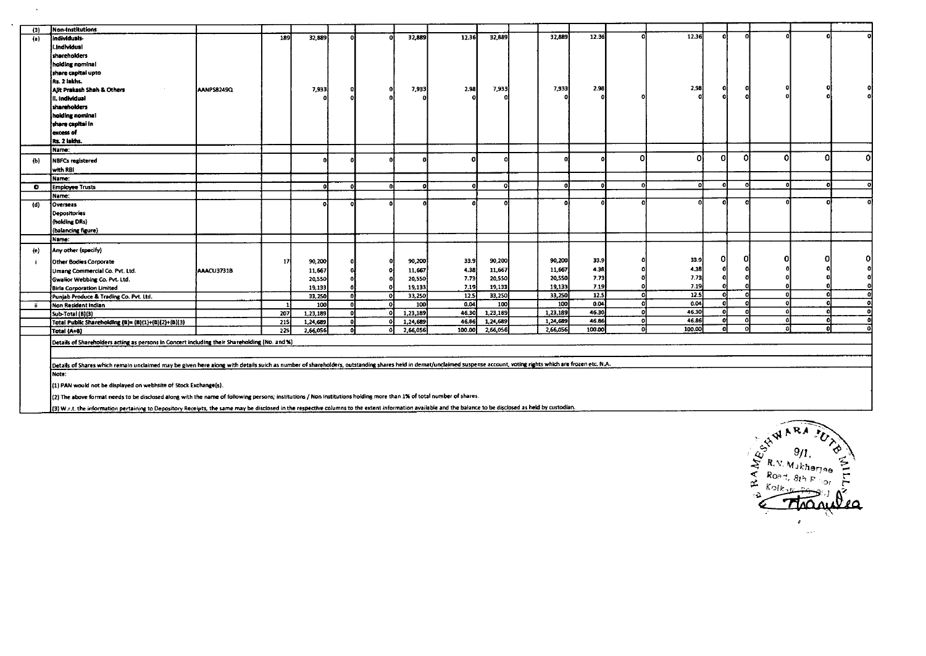|           | Non-Institutions                                                                                                                                                                                                     |            |                  |                  |    |    |          |        |          |          |        |              |                   |          |          |    |    |    |
|-----------|----------------------------------------------------------------------------------------------------------------------------------------------------------------------------------------------------------------------|------------|------------------|------------------|----|----|----------|--------|----------|----------|--------|--------------|-------------------|----------|----------|----|----|----|
| (3)       | individuals-                                                                                                                                                                                                         |            | 189              | 32,889           |    |    | 32,889   | 12.36  | 32,889   | 32,889   | 12.36  | n            | 12.36             |          |          |    |    |    |
| (a)       |                                                                                                                                                                                                                      |            |                  |                  |    |    |          |        |          |          |        |              |                   |          |          |    |    |    |
|           | i . Individual                                                                                                                                                                                                       |            |                  |                  |    |    |          |        |          |          |        |              |                   |          |          |    |    |    |
|           | shareholders                                                                                                                                                                                                         |            |                  |                  |    |    |          |        |          |          |        |              |                   |          |          |    |    |    |
|           | holding nominal                                                                                                                                                                                                      |            |                  |                  |    |    |          |        |          |          |        |              |                   |          |          |    |    |    |
|           | share capital upto                                                                                                                                                                                                   |            |                  |                  |    |    |          |        |          |          |        |              |                   |          |          |    |    |    |
|           | Rs. 2 lakhs.                                                                                                                                                                                                         |            |                  |                  |    |    |          |        |          |          | 2.98   |              | 2,98              | 0.       |          |    |    |    |
|           | Alit Prakash Shah & Others                                                                                                                                                                                           | AANPS8249Q |                  | 7,933            |    |    | 7,933    | 2.98   | 7,933    | 7,933    |        |              |                   |          |          |    |    |    |
|           | II. Individual                                                                                                                                                                                                       |            |                  |                  |    |    |          |        |          |          |        |              |                   |          |          |    |    |    |
|           | shareholders                                                                                                                                                                                                         |            |                  |                  |    |    |          |        |          |          |        |              |                   |          |          |    |    |    |
|           | holding nominal                                                                                                                                                                                                      |            |                  |                  |    |    |          |        |          |          |        |              |                   |          |          |    |    |    |
|           | share capital in                                                                                                                                                                                                     |            |                  |                  |    |    |          |        |          |          |        |              |                   |          |          |    |    |    |
|           | excess of                                                                                                                                                                                                            |            |                  |                  |    |    |          |        |          |          |        |              |                   |          |          |    |    |    |
|           | Rs. 2 lakhs.                                                                                                                                                                                                         |            |                  |                  |    |    |          |        |          |          |        |              |                   |          |          |    |    |    |
|           | lName:                                                                                                                                                                                                               |            |                  |                  |    |    |          |        |          |          |        | Λ            | Ω                 |          | Ω        | ٥I | 0. |    |
| (b)       | <b>NBFCs registered</b>                                                                                                                                                                                              |            |                  |                  |    |    |          | n.     |          |          |        |              |                   | ΩI       |          |    |    | ol |
|           | with RBI                                                                                                                                                                                                             |            |                  |                  |    |    |          |        |          |          |        |              |                   |          |          |    |    |    |
|           | Name:                                                                                                                                                                                                                |            |                  |                  |    |    |          |        |          |          |        |              |                   |          |          |    |    |    |
| $\bullet$ | <b>Employee Trusts</b>                                                                                                                                                                                               |            |                  |                  |    | n. |          | n      | n        | n        |        | $\mathbf{r}$ | o                 | $\Omega$ |          |    |    |    |
|           | Name:                                                                                                                                                                                                                |            |                  |                  |    |    |          |        |          |          |        |              |                   |          |          |    |    |    |
| (d)       | Overseas                                                                                                                                                                                                             |            |                  |                  |    |    |          |        |          |          |        |              |                   |          |          |    |    |    |
|           | <b>Depositories</b>                                                                                                                                                                                                  |            |                  |                  |    |    |          |        |          |          |        |              |                   |          |          |    |    |    |
|           | (holding DRs)                                                                                                                                                                                                        |            |                  |                  |    |    |          |        |          |          |        |              |                   |          |          |    |    |    |
|           | (balancing figure)                                                                                                                                                                                                   |            |                  |                  |    |    |          |        |          |          |        |              |                   |          |          |    |    |    |
|           | Name:                                                                                                                                                                                                                |            |                  |                  |    |    |          |        |          |          |        |              |                   |          |          |    |    |    |
| (e)       | Any other (specify)                                                                                                                                                                                                  |            |                  |                  |    |    |          |        |          |          |        |              |                   |          |          |    |    |    |
| j.        | Other Bodies Corporate                                                                                                                                                                                               |            | 17               | 90,200           |    |    | 90,200   | 33.9   | 90,200   | 90,200   | 33.9   |              | 33.9              |          |          |    |    | O  |
|           |                                                                                                                                                                                                                      | AAACU3731B |                  | 11,667           |    |    | 11,667   | 4.38   | 11,667   | 11,667   | 4.38   |              | 4.38              |          |          |    |    |    |
|           | Umang Commercial Co. Pvt. Ltd.                                                                                                                                                                                       |            |                  |                  |    |    | 20,550   | 7.73   | 20,550   | 20,550   | 7.73   |              | 7.73              | -ol      |          |    |    |    |
|           | Gwaiior Webbing Co. Pvt. Ltd.                                                                                                                                                                                        |            |                  | 20,550           |    |    | 19,133   | 7.19   | 19,133   | 19.133   | 7.19   |              | 7.19              |          |          |    |    |    |
|           | <b>Birla Corporation Limited</b>                                                                                                                                                                                     |            |                  | 19,133<br>33,250 |    |    | 33,250   | 12.5   | 33,250   | 33,250   | 12.5   | $\Omega$     | $\overline{12.5}$ | ol       |          |    |    |    |
|           | Punjab Produce & Trading Co. Pvt. Ltd.<br>Mon Resident Indian                                                                                                                                                        |            |                  | 100              |    |    | 100      | 0.04   | 100      | 100      | 0.04   | o            | 0.04              | -O.      |          |    |    |    |
| ii.       | Sub-Total (B)(3)                                                                                                                                                                                                     |            | 207              | 1,23,189         |    |    | 1,23,189 | 46.30  | 1,23,189 | 1,23,189 | 46.30  | $\Omega$     | 46.30             | D.       |          |    |    |    |
|           | Total Public Shareholding (B)= (B)(1)+(B)(2)+(B)(3)                                                                                                                                                                  |            | 215              | 1,24,689         |    |    | 1,24,689 | 46.86  | 1,24,689 | 1,24,689 | 46.86  | ΩÌ           | 46.86             | ol       | $\Omega$ | Ω  | o  |    |
|           | Total (A+B)                                                                                                                                                                                                          |            | $\overline{225}$ | 2,66,056         | ni | പ  | 2,66,056 | 100.00 | 2,66,056 | 2,66,056 | 100.00 | n            | 100.00            | Ωi       |          | 0. | n  |    |
|           |                                                                                                                                                                                                                      |            |                  |                  |    |    |          |        |          |          |        |              |                   |          |          |    |    |    |
|           | Details of Shareholders acting as persons in Concert including their Shareholding (No. and %)                                                                                                                        |            |                  |                  |    |    |          |        |          |          |        |              |                   |          |          |    |    |    |
|           |                                                                                                                                                                                                                      |            |                  |                  |    |    |          |        |          |          |        |              |                   |          |          |    |    |    |
|           | Details of Shares which remain unclaimed may be given here along with details suich as number of shareholders, outstanding shares held in demat/unclaimed suspense account, voting rights which are frozen etc. N.A. |            |                  |                  |    |    |          |        |          |          |        |              |                   |          |          |    |    |    |
|           | Note:                                                                                                                                                                                                                |            |                  |                  |    |    |          |        |          |          |        |              |                   |          |          |    |    |    |
|           |                                                                                                                                                                                                                      |            |                  |                  |    |    |          |        |          |          |        |              |                   |          |          |    |    |    |
|           | (1) PAN would not be displayed on webhsite of Stock Exchange(s).                                                                                                                                                     |            |                  |                  |    |    |          |        |          |          |        |              |                   |          |          |    |    |    |
|           | (2) The above format needs to be disclosed along with the name of following persons; institutions / Non Institutions holding more than 1% of total number of shares.                                                 |            |                  |                  |    |    |          |        |          |          |        |              |                   |          |          |    |    |    |

**(3) W.r.t. the information pertaining to Depository Receipts, the same may be disclosed in the respective columns to the extent information available and the balance to be disclosed as held by custodian.** 

 $\sim 10$ 

 $\sim 10$